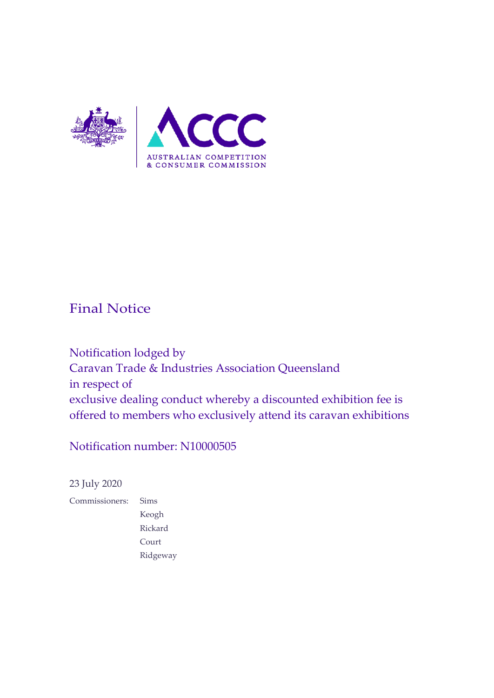

### Final Notice

Notification lodged by Caravan Trade & Industries Association Queensland in respect of exclusive dealing conduct whereby a discounted exhibition fee is offered to members who exclusively attend its caravan exhibitions

### Notification number: N10000505

23 July 2020

Commissioners: Sims Keogh Rickard Court Ridgeway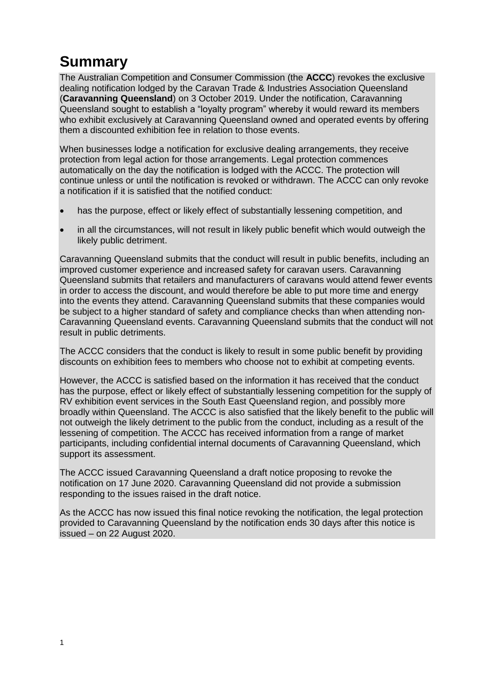# **Summary**

The Australian Competition and Consumer Commission (the **ACCC**) revokes the exclusive dealing notification lodged by the Caravan Trade & Industries Association Queensland (**Caravanning Queensland**) on 3 October 2019. Under the notification, Caravanning Queensland sought to establish a "loyalty program" whereby it would reward its members who exhibit exclusively at Caravanning Queensland owned and operated events by offering them a discounted exhibition fee in relation to those events.

When businesses lodge a notification for exclusive dealing arrangements, they receive protection from legal action for those arrangements. Legal protection commences automatically on the day the notification is lodged with the ACCC. The protection will continue unless or until the notification is revoked or withdrawn. The ACCC can only revoke a notification if it is satisfied that the notified conduct:

- has the purpose, effect or likely effect of substantially lessening competition, and
- in all the circumstances, will not result in likely public benefit which would outweigh the likely public detriment.

Caravanning Queensland submits that the conduct will result in public benefits, including an improved customer experience and increased safety for caravan users. Caravanning Queensland submits that retailers and manufacturers of caravans would attend fewer events in order to access the discount, and would therefore be able to put more time and energy into the events they attend. Caravanning Queensland submits that these companies would be subject to a higher standard of safety and compliance checks than when attending non-Caravanning Queensland events. Caravanning Queensland submits that the conduct will not result in public detriments.

The ACCC considers that the conduct is likely to result in some public benefit by providing discounts on exhibition fees to members who choose not to exhibit at competing events.

However, the ACCC is satisfied based on the information it has received that the conduct has the purpose, effect or likely effect of substantially lessening competition for the supply of RV exhibition event services in the South East Queensland region, and possibly more broadly within Queensland. The ACCC is also satisfied that the likely benefit to the public will not outweigh the likely detriment to the public from the conduct, including as a result of the lessening of competition. The ACCC has received information from a range of market participants, including confidential internal documents of Caravanning Queensland, which support its assessment.

The ACCC issued Caravanning Queensland a draft notice proposing to revoke the notification on 17 June 2020. Caravanning Queensland did not provide a submission responding to the issues raised in the draft notice.

As the ACCC has now issued this final notice revoking the notification, the legal protection provided to Caravanning Queensland by the notification ends 30 days after this notice is issued – on 22 August 2020.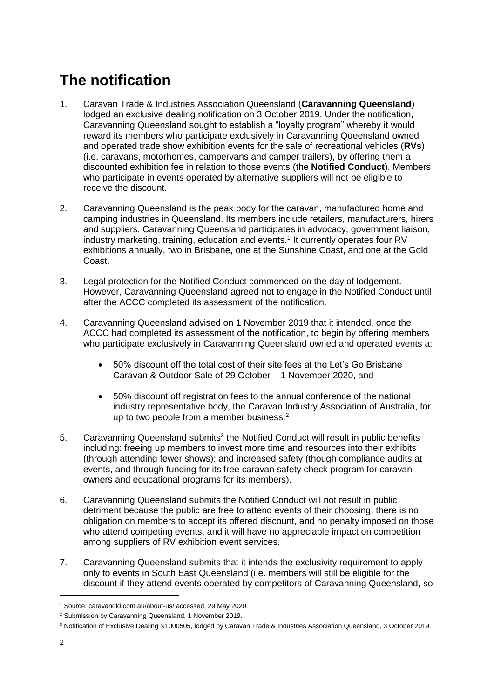## **The notification**

- 1. Caravan Trade & Industries Association Queensland (**Caravanning Queensland**) lodged an exclusive dealing notification on 3 October 2019. Under the notification, Caravanning Queensland sought to establish a "loyalty program" whereby it would reward its members who participate exclusively in Caravanning Queensland owned and operated trade show exhibition events for the sale of recreational vehicles (**RVs**) (i.e. caravans, motorhomes, campervans and camper trailers), by offering them a discounted exhibition fee in relation to those events (the **Notified Conduct**). Members who participate in events operated by alternative suppliers will not be eligible to receive the discount.
- 2. Caravanning Queensland is the peak body for the caravan, manufactured home and camping industries in Queensland. Its members include retailers, manufacturers, hirers and suppliers. Caravanning Queensland participates in advocacy, government liaison, industry marketing, training, education and events.<sup>1</sup> It currently operates four RV exhibitions annually, two in Brisbane, one at the Sunshine Coast, and one at the Gold Coast.
- 3. Legal protection for the Notified Conduct commenced on the day of lodgement. However, Caravanning Queensland agreed not to engage in the Notified Conduct until after the ACCC completed its assessment of the notification.
- 4. Caravanning Queensland advised on 1 November 2019 that it intended, once the ACCC had completed its assessment of the notification, to begin by offering members who participate exclusively in Caravanning Queensland owned and operated events a:
	- 50% discount off the total cost of their site fees at the Let's Go Brisbane Caravan & Outdoor Sale of 29 October – 1 November 2020, and
	- 50% discount off registration fees to the annual conference of the national industry representative body, the Caravan Industry Association of Australia, for up to two people from a member business.<sup>2</sup>
- 5. Caravanning Queensland submits<sup>3</sup> the Notified Conduct will result in public benefits including: freeing up members to invest more time and resources into their exhibits (through attending fewer shows); and increased safety (though compliance audits at events, and through funding for its free caravan safety check program for caravan owners and educational programs for its members).
- 6. Caravanning Queensland submits the Notified Conduct will not result in public detriment because the public are free to attend events of their choosing, there is no obligation on members to accept its offered discount, and no penalty imposed on those who attend competing events, and it will have no appreciable impact on competition among suppliers of RV exhibition event services.
- 7. Caravanning Queensland submits that it intends the exclusivity requirement to apply only to events in South East Queensland (i.e. members will still be eligible for the discount if they attend events operated by competitors of Caravanning Queensland, so

<sup>1</sup> Source: caravanqld.com.au/about-us/ accessed, 29 May 2020.

<sup>2</sup> Submission by Caravanning Queensland, 1 November 2019.

<sup>3</sup> Notification of Exclusive Dealing N1000505, lodged by Caravan Trade & Industries Association Queensland, 3 October 2019.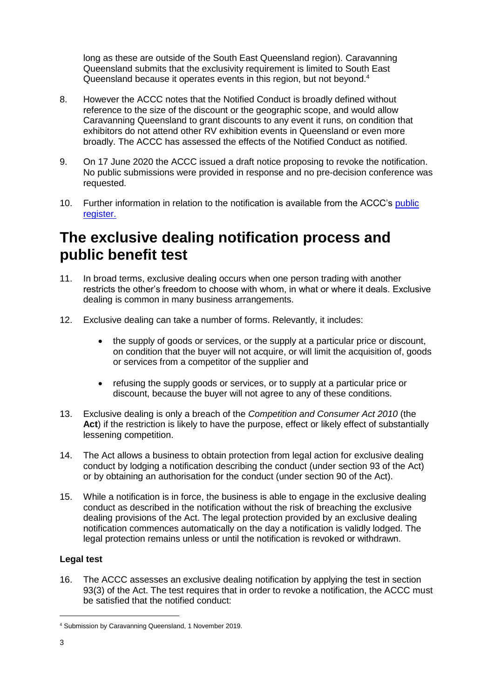long as these are outside of the South East Queensland region). Caravanning Queensland submits that the exclusivity requirement is limited to South East Queensland because it operates events in this region, but not beyond.<sup>4</sup>

- 8. However the ACCC notes that the Notified Conduct is broadly defined without reference to the size of the discount or the geographic scope, and would allow Caravanning Queensland to grant discounts to any event it runs, on condition that exhibitors do not attend other RV exhibition events in Queensland or even more broadly. The ACCC has assessed the effects of the Notified Conduct as notified.
- 9. On 17 June 2020 the ACCC issued a draft notice proposing to revoke the notification. No public submissions were provided in response and no pre-decision conference was requested.
- 10. Further information in relation to the notification is available from the ACCC's public [register.](https://www.accc.gov.au/public-registers/authorisations-and-notifications-registers/exclusive-dealing-notifications-register/caravan-trade-and-industries-association)

## **The exclusive dealing notification process and public benefit test**

- 11. In broad terms, exclusive dealing occurs when one person trading with another restricts the other's freedom to choose with whom, in what or where it deals. Exclusive dealing is common in many business arrangements.
- 12. Exclusive dealing can take a number of forms. Relevantly, it includes:
	- the supply of goods or services, or the supply at a particular price or discount, on condition that the buyer will not acquire, or will limit the acquisition of, goods or services from a competitor of the supplier and
	- refusing the supply goods or services, or to supply at a particular price or discount, because the buyer will not agree to any of these conditions.
- 13. Exclusive dealing is only a breach of the *Competition and Consumer Act 2010* (the **Act**) if the restriction is likely to have the purpose, effect or likely effect of substantially lessening competition.
- 14. The Act allows a business to obtain protection from legal action for exclusive dealing conduct by lodging a notification describing the conduct (under section 93 of the Act) or by obtaining an authorisation for the conduct (under section 90 of the Act).
- 15. While a notification is in force, the business is able to engage in the exclusive dealing conduct as described in the notification without the risk of breaching the exclusive dealing provisions of the Act. The legal protection provided by an exclusive dealing notification commences automatically on the day a notification is validly lodged. The legal protection remains unless or until the notification is revoked or withdrawn.

#### **Legal test**

16. The ACCC assesses an exclusive dealing notification by applying the test in section 93(3) of the Act. The test requires that in order to revoke a notification, the ACCC must be satisfied that the notified conduct:

<sup>4</sup> Submission by Caravanning Queensland, 1 November 2019.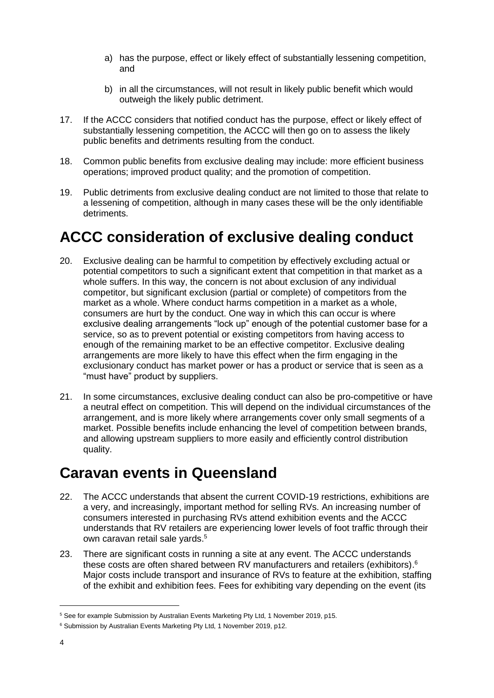- a) has the purpose, effect or likely effect of substantially lessening competition, and
- b) in all the circumstances, will not result in likely public benefit which would outweigh the likely public detriment.
- 17. If the ACCC considers that notified conduct has the purpose, effect or likely effect of substantially lessening competition, the ACCC will then go on to assess the likely public benefits and detriments resulting from the conduct.
- 18. Common public benefits from exclusive dealing may include: more efficient business operations; improved product quality; and the promotion of competition.
- 19. Public detriments from exclusive dealing conduct are not limited to those that relate to a lessening of competition, although in many cases these will be the only identifiable detriments.

## **ACCC consideration of exclusive dealing conduct**

- 20. Exclusive dealing can be harmful to competition by effectively excluding actual or potential competitors to such a significant extent that competition in that market as a whole suffers. In this way, the concern is not about exclusion of any individual competitor, but significant exclusion (partial or complete) of competitors from the market as a whole. Where conduct harms competition in a market as a whole, consumers are hurt by the conduct. One way in which this can occur is where exclusive dealing arrangements "lock up" enough of the potential customer base for a service, so as to prevent potential or existing competitors from having access to enough of the remaining market to be an effective competitor. Exclusive dealing arrangements are more likely to have this effect when the firm engaging in the exclusionary conduct has market power or has a product or service that is seen as a "must have" product by suppliers.
- 21. In some circumstances, exclusive dealing conduct can also be pro-competitive or have a neutral effect on competition. This will depend on the individual circumstances of the arrangement, and is more likely where arrangements cover only small segments of a market. Possible benefits include enhancing the level of competition between brands, and allowing upstream suppliers to more easily and efficiently control distribution quality.

### **Caravan events in Queensland**

- 22. The ACCC understands that absent the current COVID-19 restrictions, exhibitions are a very, and increasingly, important method for selling RVs. An increasing number of consumers interested in purchasing RVs attend exhibition events and the ACCC understands that RV retailers are experiencing lower levels of foot traffic through their own caravan retail sale yards.<sup>5</sup>
- 23. There are significant costs in running a site at any event. The ACCC understands these costs are often shared between RV manufacturers and retailers (exhibitors). 6 Major costs include transport and insurance of RVs to feature at the exhibition, staffing of the exhibit and exhibition fees. Fees for exhibiting vary depending on the event (its

<sup>5</sup> See for example Submission by Australian Events Marketing Pty Ltd, 1 November 2019, p15.

<sup>&</sup>lt;sup>6</sup> Submission by Australian Events Marketing Pty Ltd, 1 November 2019, p12.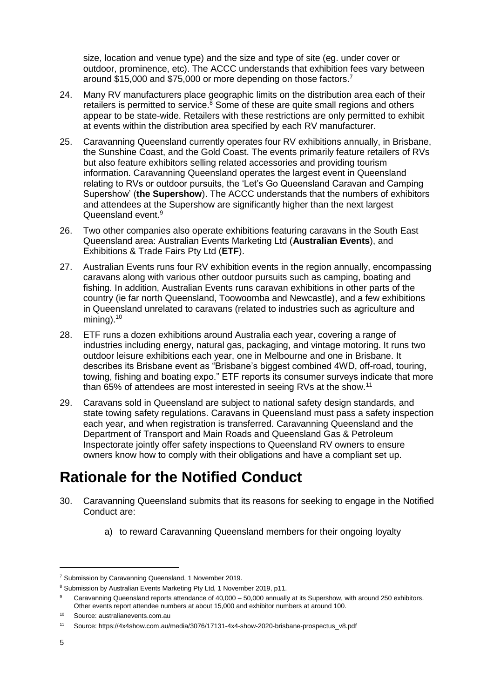size, location and venue type) and the size and type of site (eg. under cover or outdoor, prominence, etc). The ACCC understands that exhibition fees vary between around \$15,000 and \$75,000 or more depending on those factors.<sup>7</sup>

- 24. Many RV manufacturers place geographic limits on the distribution area each of their retailers is permitted to service. $8$  Some of these are quite small regions and others appear to be state-wide. Retailers with these restrictions are only permitted to exhibit at events within the distribution area specified by each RV manufacturer.
- 25. Caravanning Queensland currently operates four RV exhibitions annually, in Brisbane, the Sunshine Coast, and the Gold Coast. The events primarily feature retailers of RVs but also feature exhibitors selling related accessories and providing tourism information. Caravanning Queensland operates the largest event in Queensland relating to RVs or outdoor pursuits, the 'Let's Go Queensland Caravan and Camping Supershow' (**the Supershow**). The ACCC understands that the numbers of exhibitors and attendees at the Supershow are significantly higher than the next largest Queensland event.<sup>9</sup>
- 26. Two other companies also operate exhibitions featuring caravans in the South East Queensland area: Australian Events Marketing Ltd (**Australian Events**), and Exhibitions & Trade Fairs Pty Ltd (**ETF**).
- 27. Australian Events runs four RV exhibition events in the region annually, encompassing caravans along with various other outdoor pursuits such as camping, boating and fishing. In addition, Australian Events runs caravan exhibitions in other parts of the country (ie far north Queensland, Toowoomba and Newcastle), and a few exhibitions in Queensland unrelated to caravans (related to industries such as agriculture and mining). $10$
- 28. ETF runs a dozen exhibitions around Australia each year, covering a range of industries including energy, natural gas, packaging, and vintage motoring. It runs two outdoor leisure exhibitions each year, one in Melbourne and one in Brisbane. It describes its Brisbane event as "Brisbane's biggest combined 4WD, off-road, touring, towing, fishing and boating expo." ETF reports its consumer surveys indicate that more than 65% of attendees are most interested in seeing RVs at the show.<sup>11</sup>
- 29. Caravans sold in Queensland are subject to national safety design standards, and state towing safety regulations. Caravans in Queensland must pass a safety inspection each year, and when registration is transferred. Caravanning Queensland and the Department of Transport and Main Roads and Queensland Gas & Petroleum Inspectorate jointly offer safety inspections to Queensland RV owners to ensure owners know how to comply with their obligations and have a compliant set up.

## **Rationale for the Notified Conduct**

- <span id="page-5-0"></span>30. Caravanning Queensland submits that its reasons for seeking to engage in the Notified Conduct are:
	- a) to reward Caravanning Queensland members for their ongoing loyalty

<sup>7</sup> Submission by Caravanning Queensland, 1 November 2019.

<sup>&</sup>lt;sup>8</sup> Submission by Australian Events Marketing Pty Ltd, 1 November 2019, p11.

<sup>&</sup>lt;sup>9</sup> Caravanning Queensland reports attendance of 40,000 – 50,000 annually at its Supershow, with around 250 exhibitors. Other events report attendee numbers at about 15,000 and exhibitor numbers at around 100.

<sup>10</sup> Source: australianevents.com.au

<sup>11</sup> Source: https://4x4show.com.au/media/3076/17131-4x4-show-2020-brisbane-prospectus\_v8.pdf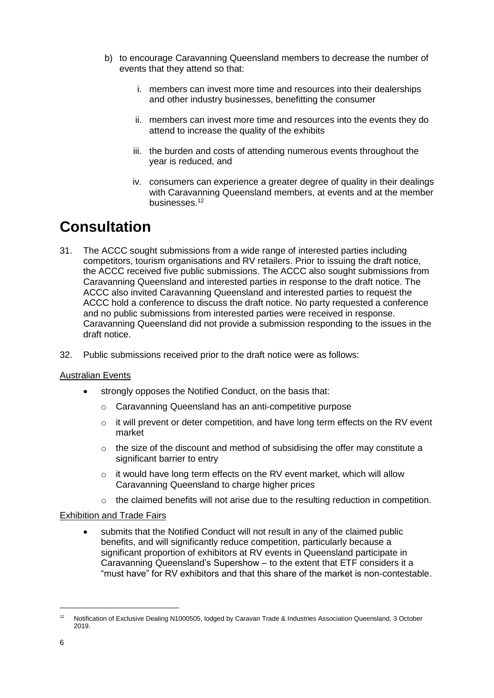- b) to encourage Caravanning Queensland members to decrease the number of events that they attend so that:
	- i. members can invest more time and resources into their dealerships and other industry businesses, benefitting the consumer
	- ii. members can invest more time and resources into the events they do attend to increase the quality of the exhibits
	- iii. the burden and costs of attending numerous events throughout the year is reduced, and
	- iv. consumers can experience a greater degree of quality in their dealings with Caravanning Queensland members, at events and at the member businesses.<sup>12</sup>

## **Consultation**

- 31. The ACCC sought submissions from a wide range of interested parties including competitors, tourism organisations and RV retailers. Prior to issuing the draft notice, the ACCC received five public submissions. The ACCC also sought submissions from Caravanning Queensland and interested parties in response to the draft notice. The ACCC also invited Caravanning Queensland and interested parties to request the ACCC hold a conference to discuss the draft notice. No party requested a conference and no public submissions from interested parties were received in response. Caravanning Queensland did not provide a submission responding to the issues in the draft notice.
- 32. Public submissions received prior to the draft notice were as follows:

#### Australian Events

- strongly opposes the Notified Conduct, on the basis that:
	- o Caravanning Queensland has an anti-competitive purpose
	- $\circ$  it will prevent or deter competition, and have long term effects on the RV event market
	- o the size of the discount and method of subsidising the offer may constitute a significant barrier to entry
	- $\circ$  it would have long term effects on the RV event market, which will allow Caravanning Queensland to charge higher prices
	- $\circ$  the claimed benefits will not arise due to the resulting reduction in competition.

#### Exhibition and Trade Fairs

 submits that the Notified Conduct will not result in any of the claimed public benefits, and will significantly reduce competition, particularly because a significant proportion of exhibitors at RV events in Queensland participate in Caravanning Queensland's Supershow – to the extent that ETF considers it a "must have" for RV exhibitors and that this share of the market is non-contestable.

<sup>12</sup> Notification of Exclusive Dealing N1000505, lodged by Caravan Trade & Industries Association Queensland, 3 October 2019.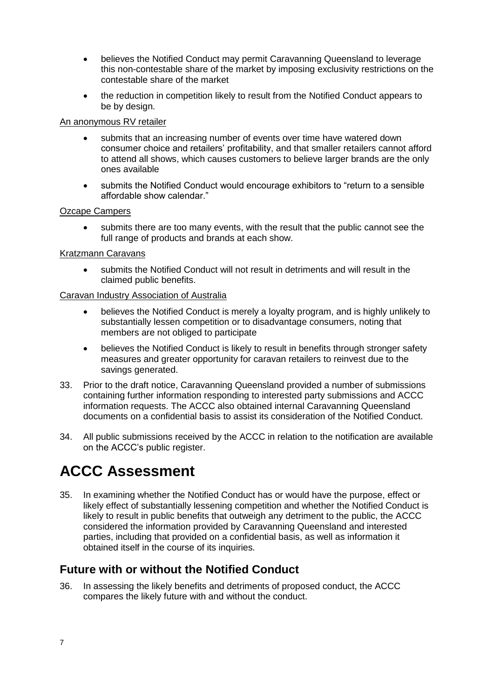- believes the Notified Conduct may permit Caravanning Queensland to leverage this non-contestable share of the market by imposing exclusivity restrictions on the contestable share of the market
- the reduction in competition likely to result from the Notified Conduct appears to be by design.

#### An anonymous RV retailer

- submits that an increasing number of events over time have watered down consumer choice and retailers' profitability, and that smaller retailers cannot afford to attend all shows, which causes customers to believe larger brands are the only ones available
- submits the Notified Conduct would encourage exhibitors to "return to a sensible affordable show calendar."

#### Ozcape Campers

 submits there are too many events, with the result that the public cannot see the full range of products and brands at each show.

#### Kratzmann Caravans

 submits the Notified Conduct will not result in detriments and will result in the claimed public benefits.

#### Caravan Industry Association of Australia

- believes the Notified Conduct is merely a loyalty program, and is highly unlikely to substantially lessen competition or to disadvantage consumers, noting that members are not obliged to participate
- believes the Notified Conduct is likely to result in benefits through stronger safety measures and greater opportunity for caravan retailers to reinvest due to the savings generated.
- 33. Prior to the draft notice, Caravanning Queensland provided a number of submissions containing further information responding to interested party submissions and ACCC information requests. The ACCC also obtained internal Caravanning Queensland documents on a confidential basis to assist its consideration of the Notified Conduct.
- 34. All public submissions received by the ACCC in relation to the notification are available on the ACCC's [public register.](https://www.accc.gov.au/public-registers/authorisations-and-notifications-registers/resale-price-maintenance-notifications-register/stanley-black-decker-australia-pty-ltd)

## **ACCC Assessment**

35. In examining whether the Notified Conduct has or would have the purpose, effect or likely effect of substantially lessening competition and whether the Notified Conduct is likely to result in public benefits that outweigh any detriment to the public, the ACCC considered the information provided by Caravanning Queensland and interested parties, including that provided on a confidential basis, as well as information it obtained itself in the course of its inquiries.

### **Future with or without the Notified Conduct**

36. In assessing the likely benefits and detriments of proposed conduct, the ACCC compares the likely future with and without the conduct.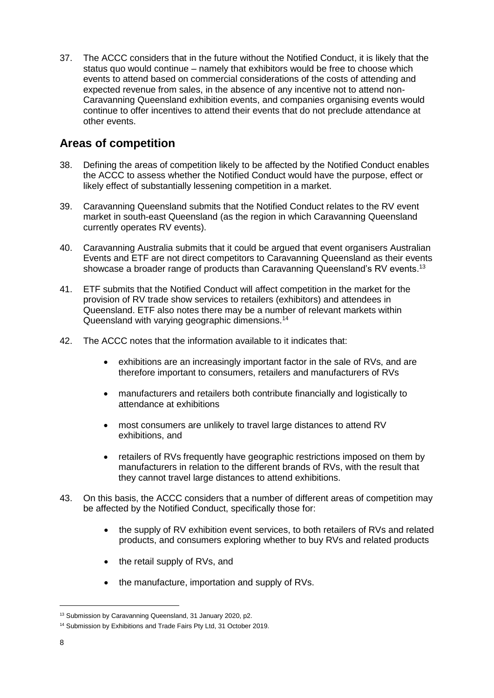37. The ACCC considers that in the future without the Notified Conduct, it is likely that the status quo would continue – namely that exhibitors would be free to choose which events to attend based on commercial considerations of the costs of attending and expected revenue from sales, in the absence of any incentive not to attend non-Caravanning Queensland exhibition events, and companies organising events would continue to offer incentives to attend their events that do not preclude attendance at other events.

### **Areas of competition**

- 38. Defining the areas of competition likely to be affected by the Notified Conduct enables the ACCC to assess whether the Notified Conduct would have the purpose, effect or likely effect of substantially lessening competition in a market.
- 39. Caravanning Queensland submits that the Notified Conduct relates to the RV event market in south-east Queensland (as the region in which Caravanning Queensland currently operates RV events).
- 40. Caravanning Australia submits that it could be argued that event organisers Australian Events and ETF are not direct competitors to Caravanning Queensland as their events showcase a broader range of products than Caravanning Queensland's RV events.<sup>13</sup>
- 41. ETF submits that the Notified Conduct will affect competition in the market for the provision of RV trade show services to retailers (exhibitors) and attendees in Queensland. ETF also notes there may be a number of relevant markets within Queensland with varying geographic dimensions.<sup>14</sup>
- 42. The ACCC notes that the information available to it indicates that:
	- exhibitions are an increasingly important factor in the sale of RVs, and are therefore important to consumers, retailers and manufacturers of RVs
	- manufacturers and retailers both contribute financially and logistically to attendance at exhibitions
	- most consumers are unlikely to travel large distances to attend RV exhibitions, and
	- retailers of RVs frequently have geographic restrictions imposed on them by manufacturers in relation to the different brands of RVs, with the result that they cannot travel large distances to attend exhibitions.
- 43. On this basis, the ACCC considers that a number of different areas of competition may be affected by the Notified Conduct, specifically those for:
	- the supply of RV exhibition event services, to both retailers of RVs and related products, and consumers exploring whether to buy RVs and related products
	- the retail supply of RVs, and
	- the manufacture, importation and supply of RVs.

<sup>&</sup>lt;sup>13</sup> Submission by Caravanning Queensland, 31 January 2020, p2.

<sup>&</sup>lt;sup>14</sup> Submission by Exhibitions and Trade Fairs Pty Ltd, 31 October 2019.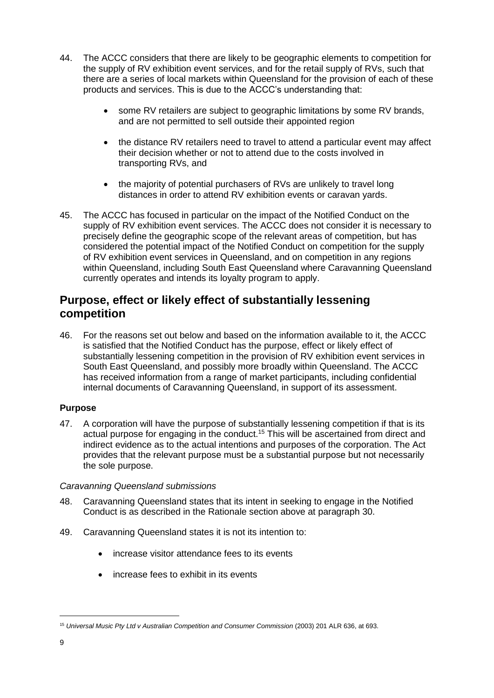- 44. The ACCC considers that there are likely to be geographic elements to competition for the supply of RV exhibition event services, and for the retail supply of RVs, such that there are a series of local markets within Queensland for the provision of each of these products and services. This is due to the ACCC's understanding that:
	- some RV retailers are subject to geographic limitations by some RV brands, and are not permitted to sell outside their appointed region
	- the distance RV retailers need to travel to attend a particular event may affect their decision whether or not to attend due to the costs involved in transporting RVs, and
	- the majority of potential purchasers of RVs are unlikely to travel long distances in order to attend RV exhibition events or caravan yards.
- 45. The ACCC has focused in particular on the impact of the Notified Conduct on the supply of RV exhibition event services. The ACCC does not consider it is necessary to precisely define the geographic scope of the relevant areas of competition, but has considered the potential impact of the Notified Conduct on competition for the supply of RV exhibition event services in Queensland, and on competition in any regions within Queensland, including South East Queensland where Caravanning Queensland currently operates and intends its loyalty program to apply.

### **Purpose, effect or likely effect of substantially lessening competition**

46. For the reasons set out below and based on the information available to it, the ACCC is satisfied that the Notified Conduct has the purpose, effect or likely effect of substantially lessening competition in the provision of RV exhibition event services in South East Queensland, and possibly more broadly within Queensland. The ACCC has received information from a range of market participants, including confidential internal documents of Caravanning Queensland, in support of its assessment.

#### **Purpose**

47. A corporation will have the purpose of substantially lessening competition if that is its actual purpose for engaging in the conduct.<sup>15</sup> This will be ascertained from direct and indirect evidence as to the actual intentions and purposes of the corporation. The Act provides that the relevant purpose must be a substantial purpose but not necessarily the sole purpose.

#### *Caravanning Queensland submissions*

- 48. Caravanning Queensland states that its intent in seeking to engage in the Notified Conduct is as described in the Rationale section above at paragraph [30.](#page-5-0)
- 49. Caravanning Queensland states it is not its intention to:
	- increase visitor attendance fees to its events
	- increase fees to exhibit in its events

<sup>15</sup> *Universal Music Pty Ltd v Australian Competition and Consumer Commission* (2003) 201 ALR 636, at 693.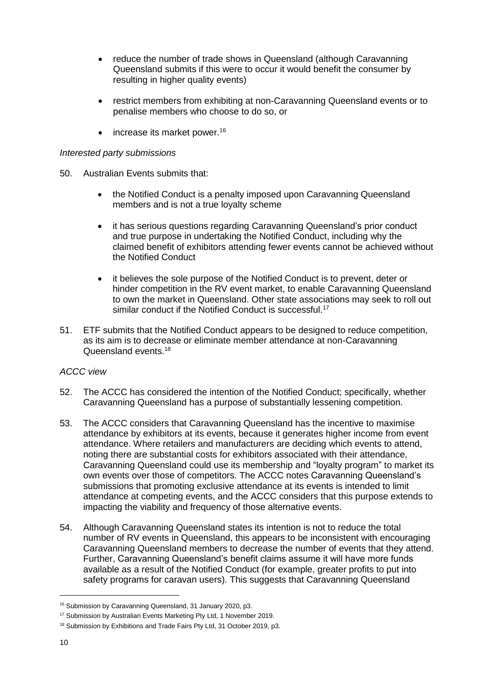- reduce the number of trade shows in Queensland (although Caravanning Queensland submits if this were to occur it would benefit the consumer by resulting in higher quality events)
- restrict members from exhibiting at non-Caravanning Queensland events or to penalise members who choose to do so, or
- $\bullet$  increase its market power.<sup>16</sup>

#### *Interested party submissions*

- 50. Australian Events submits that:
	- the Notified Conduct is a penalty imposed upon Caravanning Queensland members and is not a true loyalty scheme
	- it has serious questions regarding Caravanning Queensland's prior conduct and true purpose in undertaking the Notified Conduct, including why the claimed benefit of exhibitors attending fewer events cannot be achieved without the Notified Conduct
	- it believes the sole purpose of the Notified Conduct is to prevent, deter or hinder competition in the RV event market, to enable Caravanning Queensland to own the market in Queensland. Other state associations may seek to roll out similar conduct if the Notified Conduct is successful.<sup>17</sup>
- 51. ETF submits that the Notified Conduct appears to be designed to reduce competition, as its aim is to decrease or eliminate member attendance at non-Caravanning Queensland events.<sup>18</sup>

#### *ACCC view*

- 52. The ACCC has considered the intention of the Notified Conduct; specifically, whether Caravanning Queensland has a purpose of substantially lessening competition.
- 53. The ACCC considers that Caravanning Queensland has the incentive to maximise attendance by exhibitors at its events, because it generates higher income from event attendance. Where retailers and manufacturers are deciding which events to attend, noting there are substantial costs for exhibitors associated with their attendance, Caravanning Queensland could use its membership and "loyalty program" to market its own events over those of competitors. The ACCC notes Caravanning Queensland's submissions that promoting exclusive attendance at its events is intended to limit attendance at competing events, and the ACCC considers that this purpose extends to impacting the viability and frequency of those alternative events.
- 54. Although Caravanning Queensland states its intention is not to reduce the total number of RV events in Queensland, this appears to be inconsistent with encouraging Caravanning Queensland members to decrease the number of events that they attend. Further, Caravanning Queensland's benefit claims assume it will have more funds available as a result of the Notified Conduct (for example, greater profits to put into safety programs for caravan users). This suggests that Caravanning Queensland

<sup>16</sup> Submission by Caravanning Queensland, 31 January 2020, p3.

<sup>&</sup>lt;sup>17</sup> Submission by Australian Events Marketing Pty Ltd, 1 November 2019.

<sup>&</sup>lt;sup>18</sup> Submission by Exhibitions and Trade Fairs Pty Ltd, 31 October 2019, p3.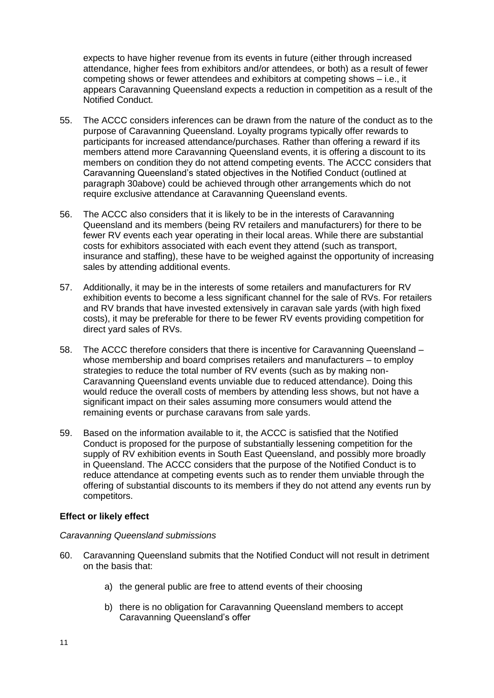expects to have higher revenue from its events in future (either through increased attendance, higher fees from exhibitors and/or attendees, or both) as a result of fewer competing shows or fewer attendees and exhibitors at competing shows – i.e., it appears Caravanning Queensland expects a reduction in competition as a result of the Notified Conduct.

- 55. The ACCC considers inferences can be drawn from the nature of the conduct as to the purpose of Caravanning Queensland. Loyalty programs typically offer rewards to participants for increased attendance/purchases. Rather than offering a reward if its members attend more Caravanning Queensland events, it is offering a discount to its members on condition they do not attend competing events. The ACCC considers that Caravanning Queensland's stated objectives in the Notified Conduct (outlined at paragraph [30a](#page-5-0)bove) could be achieved through other arrangements which do not require exclusive attendance at Caravanning Queensland events.
- 56. The ACCC also considers that it is likely to be in the interests of Caravanning Queensland and its members (being RV retailers and manufacturers) for there to be fewer RV events each year operating in their local areas. While there are substantial costs for exhibitors associated with each event they attend (such as transport, insurance and staffing), these have to be weighed against the opportunity of increasing sales by attending additional events.
- 57. Additionally, it may be in the interests of some retailers and manufacturers for RV exhibition events to become a less significant channel for the sale of RVs. For retailers and RV brands that have invested extensively in caravan sale yards (with high fixed costs), it may be preferable for there to be fewer RV events providing competition for direct yard sales of RVs.
- 58. The ACCC therefore considers that there is incentive for Caravanning Queensland whose membership and board comprises retailers and manufacturers – to employ strategies to reduce the total number of RV events (such as by making non-Caravanning Queensland events unviable due to reduced attendance). Doing this would reduce the overall costs of members by attending less shows, but not have a significant impact on their sales assuming more consumers would attend the remaining events or purchase caravans from sale yards.
- 59. Based on the information available to it, the ACCC is satisfied that the Notified Conduct is proposed for the purpose of substantially lessening competition for the supply of RV exhibition events in South East Queensland, and possibly more broadly in Queensland. The ACCC considers that the purpose of the Notified Conduct is to reduce attendance at competing events such as to render them unviable through the offering of substantial discounts to its members if they do not attend any events run by competitors.

#### **Effect or likely effect**

#### *Caravanning Queensland submissions*

- <span id="page-11-0"></span>60. Caravanning Queensland submits that the Notified Conduct will not result in detriment on the basis that:
	- a) the general public are free to attend events of their choosing
	- b) there is no obligation for Caravanning Queensland members to accept Caravanning Queensland's offer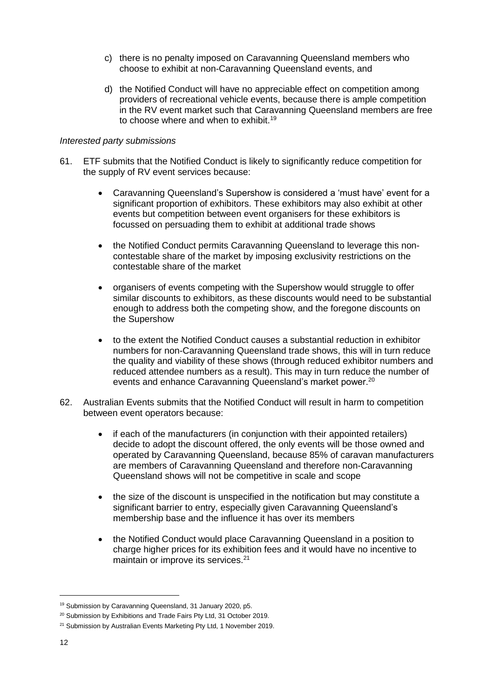- c) there is no penalty imposed on Caravanning Queensland members who choose to exhibit at non-Caravanning Queensland events, and
- d) the Notified Conduct will have no appreciable effect on competition among providers of recreational vehicle events, because there is ample competition in the RV event market such that Caravanning Queensland members are free to choose where and when to exhibit.<sup>19</sup>

#### *Interested party submissions*

- 61. ETF submits that the Notified Conduct is likely to significantly reduce competition for the supply of RV event services because:
	- Caravanning Queensland's Supershow is considered a 'must have' event for a significant proportion of exhibitors. These exhibitors may also exhibit at other events but competition between event organisers for these exhibitors is focussed on persuading them to exhibit at additional trade shows
	- the Notified Conduct permits Caravanning Queensland to leverage this noncontestable share of the market by imposing exclusivity restrictions on the contestable share of the market
	- organisers of events competing with the Supershow would struggle to offer similar discounts to exhibitors, as these discounts would need to be substantial enough to address both the competing show, and the foregone discounts on the Supershow
	- to the extent the Notified Conduct causes a substantial reduction in exhibitor numbers for non-Caravanning Queensland trade shows, this will in turn reduce the quality and viability of these shows (through reduced exhibitor numbers and reduced attendee numbers as a result). This may in turn reduce the number of events and enhance Caravanning Queensland's market power.<sup>20</sup>
- 62. Australian Events submits that the Notified Conduct will result in harm to competition between event operators because:
	- if each of the manufacturers (in conjunction with their appointed retailers) decide to adopt the discount offered, the only events will be those owned and operated by Caravanning Queensland, because 85% of caravan manufacturers are members of Caravanning Queensland and therefore non-Caravanning Queensland shows will not be competitive in scale and scope
	- the size of the discount is unspecified in the notification but may constitute a significant barrier to entry, especially given Caravanning Queensland's membership base and the influence it has over its members
	- the Notified Conduct would place Caravanning Queensland in a position to charge higher prices for its exhibition fees and it would have no incentive to maintain or improve its services.<sup>21</sup>

<sup>19</sup> Submission by Caravanning Queensland, 31 January 2020, p5.

<sup>&</sup>lt;sup>20</sup> Submission by Exhibitions and Trade Fairs Pty Ltd, 31 October 2019.

<sup>&</sup>lt;sup>21</sup> Submission by Australian Events Marketing Pty Ltd, 1 November 2019.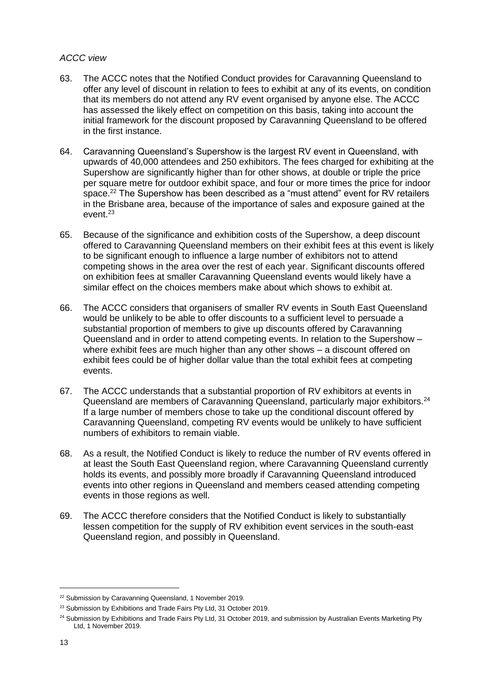#### *ACCC view*

- 63. The ACCC notes that the Notified Conduct provides for Caravanning Queensland to offer any level of discount in relation to fees to exhibit at any of its events, on condition that its members do not attend any RV event organised by anyone else. The ACCC has assessed the likely effect on competition on this basis, taking into account the initial framework for the discount proposed by Caravanning Queensland to be offered in the first instance.
- 64. Caravanning Queensland's Supershow is the largest RV event in Queensland, with upwards of 40,000 attendees and 250 exhibitors. The fees charged for exhibiting at the Supershow are significantly higher than for other shows, at double or triple the price per square metre for outdoor exhibit space, and four or more times the price for indoor space.<sup>22</sup> The Supershow has been described as a "must attend" event for RV retailers in the Brisbane area, because of the importance of sales and exposure gained at the event.<sup>23</sup>
- 65. Because of the significance and exhibition costs of the Supershow, a deep discount offered to Caravanning Queensland members on their exhibit fees at this event is likely to be significant enough to influence a large number of exhibitors not to attend competing shows in the area over the rest of each year. Significant discounts offered on exhibition fees at smaller Caravanning Queensland events would likely have a similar effect on the choices members make about which shows to exhibit at.
- 66. The ACCC considers that organisers of smaller RV events in South East Queensland would be unlikely to be able to offer discounts to a sufficient level to persuade a substantial proportion of members to give up discounts offered by Caravanning Queensland and in order to attend competing events. In relation to the Supershow – where exhibit fees are much higher than any other shows – a discount offered on exhibit fees could be of higher dollar value than the total exhibit fees at competing events.
- 67. The ACCC understands that a substantial proportion of RV exhibitors at events in Queensland are members of Caravanning Queensland, particularly major exhibitors.<sup>24</sup> If a large number of members chose to take up the conditional discount offered by Caravanning Queensland, competing RV events would be unlikely to have sufficient numbers of exhibitors to remain viable.
- 68. As a result, the Notified Conduct is likely to reduce the number of RV events offered in at least the South East Queensland region, where Caravanning Queensland currently holds its events, and possibly more broadly if Caravanning Queensland introduced events into other regions in Queensland and members ceased attending competing events in those regions as well.
- <span id="page-13-0"></span>69. The ACCC therefore considers that the Notified Conduct is likely to substantially lessen competition for the supply of RV exhibition event services in the south-east Queensland region, and possibly in Queensland.

<sup>&</sup>lt;sup>22</sup> Submission by Caravanning Queensland, 1 November 2019.

<sup>&</sup>lt;sup>23</sup> Submission by Exhibitions and Trade Fairs Pty Ltd, 31 October 2019.

<sup>&</sup>lt;sup>24</sup> Submission by Exhibitions and Trade Fairs Pty Ltd, 31 October 2019, and submission by Australian Events Marketing Pty Ltd, 1 November 2019.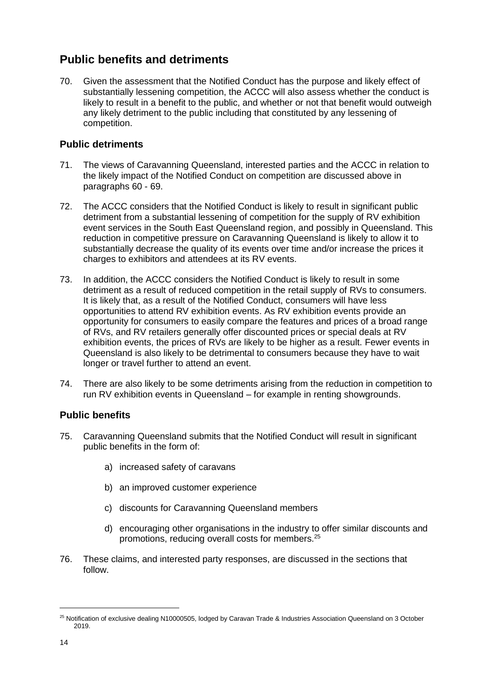### **Public benefits and detriments**

70. Given the assessment that the Notified Conduct has the purpose and likely effect of substantially lessening competition, the ACCC will also assess whether the conduct is likely to result in a benefit to the public, and whether or not that benefit would outweigh any likely detriment to the public including that constituted by any lessening of competition.

#### **Public detriments**

- 71. The views of Caravanning Queensland, interested parties and the ACCC in relation to the likely impact of the Notified Conduct on competition are discussed above in paragraphs [60](#page-11-0) - [69.](#page-13-0)
- 72. The ACCC considers that the Notified Conduct is likely to result in significant public detriment from a substantial lessening of competition for the supply of RV exhibition event services in the South East Queensland region, and possibly in Queensland. This reduction in competitive pressure on Caravanning Queensland is likely to allow it to substantially decrease the quality of its events over time and/or increase the prices it charges to exhibitors and attendees at its RV events.
- 73. In addition, the ACCC considers the Notified Conduct is likely to result in some detriment as a result of reduced competition in the retail supply of RVs to consumers. It is likely that, as a result of the Notified Conduct, consumers will have less opportunities to attend RV exhibition events. As RV exhibition events provide an opportunity for consumers to easily compare the features and prices of a broad range of RVs, and RV retailers generally offer discounted prices or special deals at RV exhibition events, the prices of RVs are likely to be higher as a result. Fewer events in Queensland is also likely to be detrimental to consumers because they have to wait longer or travel further to attend an event.
- 74. There are also likely to be some detriments arising from the reduction in competition to run RV exhibition events in Queensland – for example in renting showgrounds.

#### **Public benefits**

- 75. Caravanning Queensland submits that the Notified Conduct will result in significant public benefits in the form of:
	- a) increased safety of caravans
	- b) an improved customer experience
	- c) discounts for Caravanning Queensland members
	- d) encouraging other organisations in the industry to offer similar discounts and promotions, reducing overall costs for members.<sup>25</sup>
- 76. These claims, and interested party responses, are discussed in the sections that follow.

<sup>&</sup>lt;sup>25</sup> Notification of exclusive dealing N10000505, lodged by Caravan Trade & Industries Association Queensland on 3 October 2019.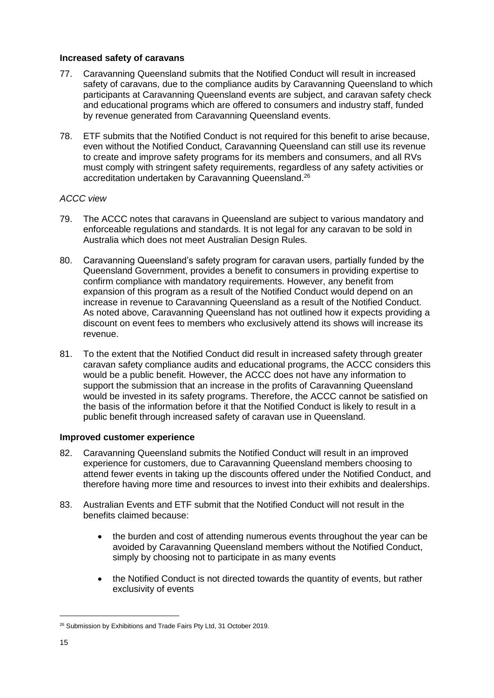#### **Increased safety of caravans**

- 77. Caravanning Queensland submits that the Notified Conduct will result in increased safety of caravans, due to the compliance audits by Caravanning Queensland to which participants at Caravanning Queensland events are subject, and caravan safety check and educational programs which are offered to consumers and industry staff, funded by revenue generated from Caravanning Queensland events.
- 78. ETF submits that the Notified Conduct is not required for this benefit to arise because, even without the Notified Conduct, Caravanning Queensland can still use its revenue to create and improve safety programs for its members and consumers, and all RVs must comply with stringent safety requirements, regardless of any safety activities or accreditation undertaken by Caravanning Queensland.<sup>26</sup>

#### *ACCC view*

- 79. The ACCC notes that caravans in Queensland are subject to various mandatory and enforceable regulations and standards. It is not legal for any caravan to be sold in Australia which does not meet Australian Design Rules.
- 80. Caravanning Queensland's safety program for caravan users, partially funded by the Queensland Government, provides a benefit to consumers in providing expertise to confirm compliance with mandatory requirements. However, any benefit from expansion of this program as a result of the Notified Conduct would depend on an increase in revenue to Caravanning Queensland as a result of the Notified Conduct. As noted above, Caravanning Queensland has not outlined how it expects providing a discount on event fees to members who exclusively attend its shows will increase its revenue.
- 81. To the extent that the Notified Conduct did result in increased safety through greater caravan safety compliance audits and educational programs, the ACCC considers this would be a public benefit. However, the ACCC does not have any information to support the submission that an increase in the profits of Caravanning Queensland would be invested in its safety programs. Therefore, the ACCC cannot be satisfied on the basis of the information before it that the Notified Conduct is likely to result in a public benefit through increased safety of caravan use in Queensland.

#### **Improved customer experience**

- 82. Caravanning Queensland submits the Notified Conduct will result in an improved experience for customers, due to Caravanning Queensland members choosing to attend fewer events in taking up the discounts offered under the Notified Conduct, and therefore having more time and resources to invest into their exhibits and dealerships.
- 83. Australian Events and ETF submit that the Notified Conduct will not result in the benefits claimed because:
	- the burden and cost of attending numerous events throughout the year can be avoided by Caravanning Queensland members without the Notified Conduct, simply by choosing not to participate in as many events
	- the Notified Conduct is not directed towards the quantity of events, but rather exclusivity of events

<sup>&</sup>lt;sup>26</sup> Submission by Exhibitions and Trade Fairs Pty Ltd, 31 October 2019.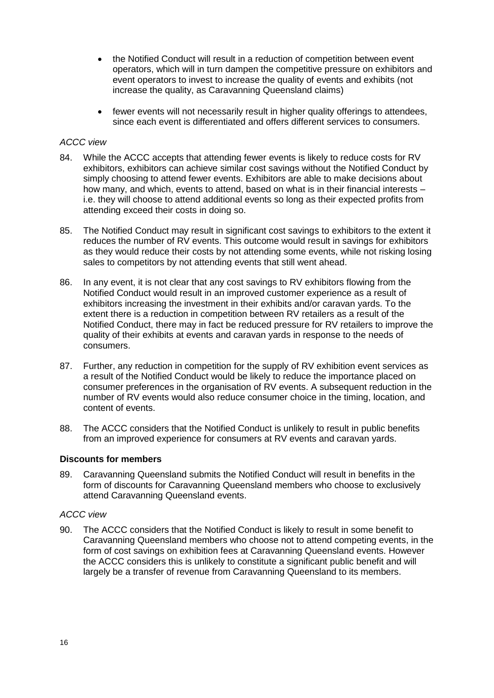- the Notified Conduct will result in a reduction of competition between event operators, which will in turn dampen the competitive pressure on exhibitors and event operators to invest to increase the quality of events and exhibits (not increase the quality, as Caravanning Queensland claims)
- fewer events will not necessarily result in higher quality offerings to attendees, since each event is differentiated and offers different services to consumers.

#### *ACCC view*

- 84. While the ACCC accepts that attending fewer events is likely to reduce costs for RV exhibitors, exhibitors can achieve similar cost savings without the Notified Conduct by simply choosing to attend fewer events. Exhibitors are able to make decisions about how many, and which, events to attend, based on what is in their financial interests – i.e. they will choose to attend additional events so long as their expected profits from attending exceed their costs in doing so.
- 85. The Notified Conduct may result in significant cost savings to exhibitors to the extent it reduces the number of RV events. This outcome would result in savings for exhibitors as they would reduce their costs by not attending some events, while not risking losing sales to competitors by not attending events that still went ahead.
- 86. In any event, it is not clear that any cost savings to RV exhibitors flowing from the Notified Conduct would result in an improved customer experience as a result of exhibitors increasing the investment in their exhibits and/or caravan yards. To the extent there is a reduction in competition between RV retailers as a result of the Notified Conduct, there may in fact be reduced pressure for RV retailers to improve the quality of their exhibits at events and caravan yards in response to the needs of consumers.
- 87. Further, any reduction in competition for the supply of RV exhibition event services as a result of the Notified Conduct would be likely to reduce the importance placed on consumer preferences in the organisation of RV events. A subsequent reduction in the number of RV events would also reduce consumer choice in the timing, location, and content of events.
- 88. The ACCC considers that the Notified Conduct is unlikely to result in public benefits from an improved experience for consumers at RV events and caravan yards.

#### **Discounts for members**

89. Caravanning Queensland submits the Notified Conduct will result in benefits in the form of discounts for Caravanning Queensland members who choose to exclusively attend Caravanning Queensland events.

#### *ACCC view*

90. The ACCC considers that the Notified Conduct is likely to result in some benefit to Caravanning Queensland members who choose not to attend competing events, in the form of cost savings on exhibition fees at Caravanning Queensland events. However the ACCC considers this is unlikely to constitute a significant public benefit and will largely be a transfer of revenue from Caravanning Queensland to its members.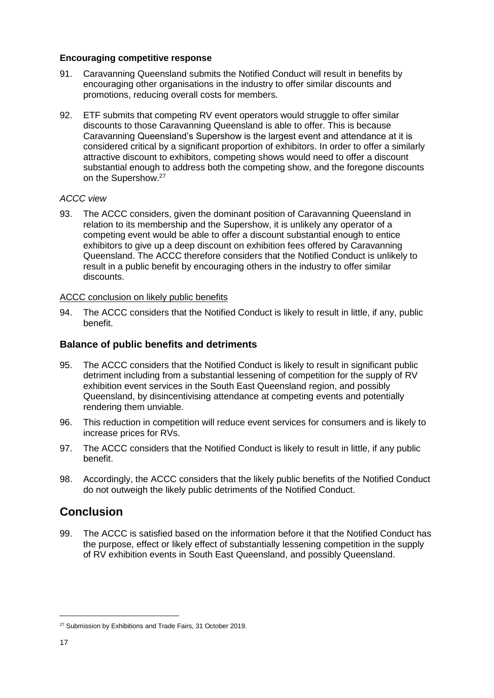#### **Encouraging competitive response**

- 91. Caravanning Queensland submits the Notified Conduct will result in benefits by encouraging other organisations in the industry to offer similar discounts and promotions, reducing overall costs for members.
- 92. ETF submits that competing RV event operators would struggle to offer similar discounts to those Caravanning Queensland is able to offer. This is because Caravanning Queensland's Supershow is the largest event and attendance at it is considered critical by a significant proportion of exhibitors. In order to offer a similarly attractive discount to exhibitors, competing shows would need to offer a discount substantial enough to address both the competing show, and the foregone discounts on the Supershow.<sup>27</sup>

#### *ACCC view*

93. The ACCC considers, given the dominant position of Caravanning Queensland in relation to its membership and the Supershow, it is unlikely any operator of a competing event would be able to offer a discount substantial enough to entice exhibitors to give up a deep discount on exhibition fees offered by Caravanning Queensland. The ACCC therefore considers that the Notified Conduct is unlikely to result in a public benefit by encouraging others in the industry to offer similar discounts.

#### ACCC conclusion on likely public benefits

94. The ACCC considers that the Notified Conduct is likely to result in little, if any, public benefit.

#### **Balance of public benefits and detriments**

- 95. The ACCC considers that the Notified Conduct is likely to result in significant public detriment including from a substantial lessening of competition for the supply of RV exhibition event services in the South East Queensland region, and possibly Queensland, by disincentivising attendance at competing events and potentially rendering them unviable.
- 96. This reduction in competition will reduce event services for consumers and is likely to increase prices for RVs.
- 97. The ACCC considers that the Notified Conduct is likely to result in little, if any public benefit.
- 98. Accordingly, the ACCC considers that the likely public benefits of the Notified Conduct do not outweigh the likely public detriments of the Notified Conduct.

### **Conclusion**

99. The ACCC is satisfied based on the information before it that the Notified Conduct has the purpose, effect or likely effect of substantially lessening competition in the supply of RV exhibition events in South East Queensland, and possibly Queensland.

<sup>&</sup>lt;sup>27</sup> Submission by Exhibitions and Trade Fairs, 31 October 2019.